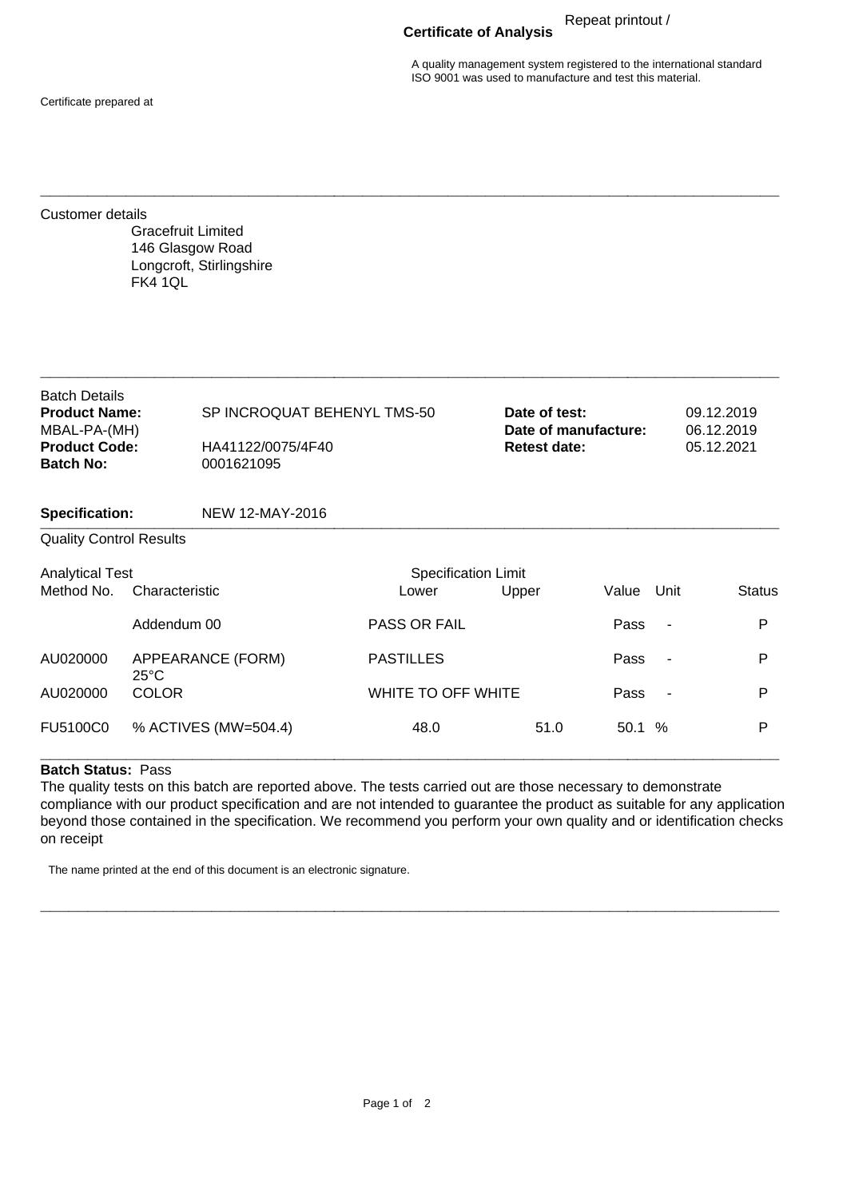**Certificate of Analysis** Repeat printout /

A quality management system registered to the international standard ISO 9001 was used to manufacture and test this material.

Certificate prepared at

Customer details

Gracefruit Limited 146 Glasgow Road Longcroft, Stirlingshire FK4 1QL

| <b>Batch Details</b><br><b>Product Name:</b> | SP INCROQUAT BEHENYL TMS-50 | Date of test:        | 09.12.2019 |
|----------------------------------------------|-----------------------------|----------------------|------------|
| MBAL-PA-(MH)                                 |                             | Date of manufacture: | 06.12.2019 |
| <b>Product Code:</b>                         | HA41122/0075/4F40           | <b>Retest date:</b>  | 05.12.2021 |
| <b>Batch No:</b>                             | 0001621095                  |                      |            |
|                                              |                             |                      |            |
| <b>Specification:</b>                        | NEW 12-MAY-2016             |                      |            |

**\_\_\_\_\_\_\_\_\_\_\_\_\_\_\_\_\_\_\_\_\_\_\_\_\_\_\_\_\_\_\_\_\_\_\_\_\_\_\_\_\_\_\_\_\_\_\_\_\_\_\_\_\_\_\_\_\_\_\_\_\_\_\_\_\_\_\_\_\_\_\_\_\_\_\_\_\_\_**

**\_\_\_\_\_\_\_\_\_\_\_\_\_\_\_\_\_\_\_\_\_\_\_\_\_\_\_\_\_\_\_\_\_\_\_\_\_\_\_\_\_\_\_\_\_\_\_\_\_\_\_\_\_\_\_\_\_\_\_\_\_\_\_\_\_\_\_\_\_\_\_\_\_\_\_\_\_\_**

## Quality Control Results

| <b>Analytical Test</b><br>Method No. | Characteristic                      | <b>Specification Limit</b><br>Upper<br>Value<br>Unit<br>Lower |      |       |                          |   |
|--------------------------------------|-------------------------------------|---------------------------------------------------------------|------|-------|--------------------------|---|
|                                      | Addendum 00                         | <b>PASS OR FAIL</b>                                           |      | Pass  | $\overline{\phantom{a}}$ | P |
| AU020000                             | APPEARANCE (FORM)<br>$25^{\circ}$ C | <b>PASTILLES</b>                                              |      | Pass  | $\overline{\phantom{a}}$ | P |
| AU020000                             | <b>COLOR</b>                        | WHITE TO OFF WHITE                                            |      | Pass  | $\sim$                   | P |
| FU5100C0                             | % ACTIVES (MW=504.4)                | 48.0                                                          | 51.0 | 50.1% |                          | P |
|                                      |                                     |                                                               |      |       |                          |   |

## **Batch Status:** Pass

The quality tests on this batch are reported above. The tests carried out are those necessary to demonstrate compliance with our product specification and are not intended to guarantee the product as suitable for any application beyond those contained in the specification. We recommend you perform your own quality and or identification checks on receipt

**\_\_\_\_\_\_\_\_\_\_\_\_\_\_\_\_\_\_\_\_\_\_\_\_\_\_\_\_\_\_\_\_\_\_\_\_\_\_\_\_\_\_\_\_\_\_\_\_\_\_\_\_\_\_\_\_\_\_\_\_\_\_\_\_\_\_\_\_\_\_\_\_\_\_\_\_\_\_**

The name printed at the end of this document is an electronic signature.